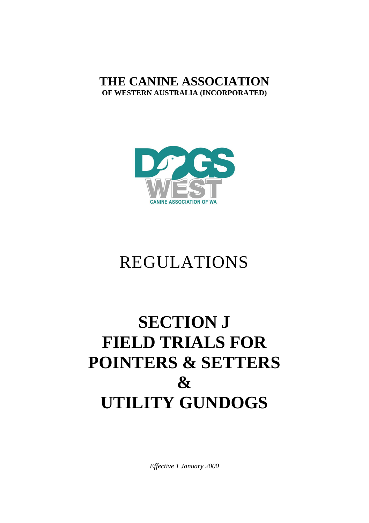# **THE CANINE ASSOCIATION OF WESTERN AUSTRALIA (INCORPORATED)**



# REGULATIONS

# **SECTION J FIELD TRIALS FOR POINTERS & SETTERS & UTILITY GUNDOGS**

*Effective 1 January 2000*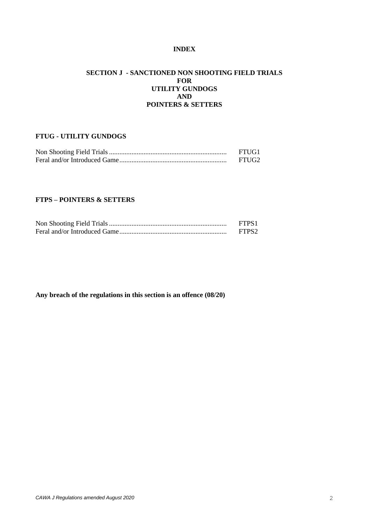# **INDEX**

# **SECTION J - SANCTIONED NON SHOOTING FIELD TRIALS FOR UTILITY GUNDOGS AND POINTERS & SETTERS**

# **FTUG - UTILITY GUNDOGS**

| FTUG1 |
|-------|
| FTUG2 |

# **FTPS – POINTERS & SETTERS**

| FTPS1             |
|-------------------|
| FTPS <sub>2</sub> |

**Any breach of the regulations in this section is an offence (08/20)**